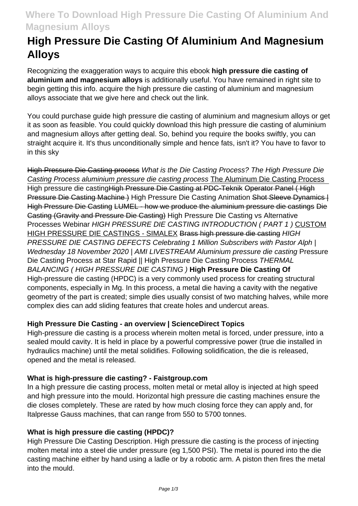## **Where To Download High Pressure Die Casting Of Aluminium And Magnesium Alloys**

# **High Pressure Die Casting Of Aluminium And Magnesium Alloys**

Recognizing the exaggeration ways to acquire this ebook **high pressure die casting of aluminium and magnesium alloys** is additionally useful. You have remained in right site to begin getting this info. acquire the high pressure die casting of aluminium and magnesium alloys associate that we give here and check out the link.

You could purchase guide high pressure die casting of aluminium and magnesium alloys or get it as soon as feasible. You could quickly download this high pressure die casting of aluminium and magnesium alloys after getting deal. So, behind you require the books swiftly, you can straight acquire it. It's thus unconditionally simple and hence fats, isn't it? You have to favor to in this sky

High Pressure Die Casting process What is the Die Casting Process? The High Pressure Die Casting Process aluminium pressure die casting process The Aluminum Die Casting Process High pressure die castingHigh Pressure Die Casting at PDC-Teknik Operator Panel ( High Pressure Die Casting Machine ) High Pressure Die Casting Animation Shot Sleeve Dynamics | High Pressure Die Casting LUMEL - how we produce the aluminium pressure die castings Die Casting (Gravity and Pressure Die Casting) High Pressure Die Casting vs Alternative Processes Webinar HIGH PRESSURE DIE CASTING INTRODUCTION ( PART 1 ) CUSTOM HIGH PRESSURE DIE CASTINGS - SIMALEX Brass high pressure die casting HIGH PRESSURE DIE CASTING DEFECTS Celebrating 1 Million Subscribers with Pastor Alph | Wednesday 18 November 2020 | AMI LIVESTREAM Aluminium pressure die casting Pressure Die Casting Process at Star Rapid || High Pressure Die Casting Process THERMAL BALANCING ( HIGH PRESSURE DIE CASTING ) **High Pressure Die Casting Of** High-pressure die casting (HPDC) is a very commonly used process for creating structural components, especially in Mg. In this process, a metal die having a cavity with the negative geometry of the part is created; simple dies usually consist of two matching halves, while more complex dies can add sliding features that create holes and undercut areas.

## **High Pressure Die Casting - an overview | ScienceDirect Topics**

High-pressure die casting is a process wherein molten metal is forced, under pressure, into a sealed mould cavity. It is held in place by a powerful compressive power (true die installed in hydraulics machine) until the metal solidifies. Following solidification, the die is released, opened and the metal is released.

### **What is high-pressure die casting? - Faistgroup.com**

In a high pressure die casting process, molten metal or metal alloy is injected at high speed and high pressure into the mould. Horizontal high pressure die casting machines ensure the die closes completely. These are rated by how much closing force they can apply and, for Italpresse Gauss machines, that can range from 550 to 5700 tonnes.

### **What is high pressure die casting (HPDC)?**

High Pressure Die Casting Description. High pressure die casting is the process of injecting molten metal into a steel die under pressure (eg 1,500 PSI). The metal is poured into the die casting machine either by hand using a ladle or by a robotic arm. A piston then fires the metal into the mould.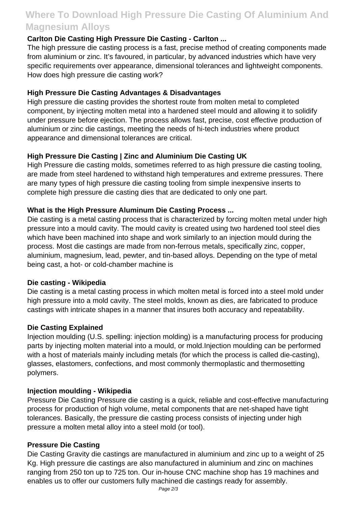## **Where To Download High Pressure Die Casting Of Aluminium And Magnesium Alloys**

## **Carlton Die Casting High Pressure Die Casting - Carlton ...**

The high pressure die casting process is a fast, precise method of creating components made from aluminium or zinc. It's favoured, in particular, by advanced industries which have very specific requirements over appearance, dimensional tolerances and lightweight components. How does high pressure die casting work?

### **High Pressure Die Casting Advantages & Disadvantages**

High pressure die casting provides the shortest route from molten metal to completed component, by injecting molten metal into a hardened steel mould and allowing it to solidify under pressure before ejection. The process allows fast, precise, cost effective production of aluminium or zinc die castings, meeting the needs of hi-tech industries where product appearance and dimensional tolerances are critical.

## **High Pressure Die Casting | Zinc and Aluminium Die Casting UK**

High Pressure die casting molds, sometimes referred to as high pressure die casting tooling, are made from steel hardened to withstand high temperatures and extreme pressures. There are many types of high pressure die casting tooling from simple inexpensive inserts to complete high pressure die casting dies that are dedicated to only one part.

## **What is the High Pressure Aluminum Die Casting Process ...**

Die casting is a metal casting process that is characterized by forcing molten metal under high pressure into a mould cavity. The mould cavity is created using two hardened tool steel dies which have been machined into shape and work similarly to an injection mould during the process. Most die castings are made from non-ferrous metals, specifically zinc, copper, aluminium, magnesium, lead, pewter, and tin-based alloys. Depending on the type of metal being cast, a hot- or cold-chamber machine is

### **Die casting - Wikipedia**

Die casting is a metal casting process in which molten metal is forced into a steel mold under high pressure into a mold cavity. The steel molds, known as dies, are fabricated to produce castings with intricate shapes in a manner that insures both accuracy and repeatability.

### **Die Casting Explained**

Injection moulding (U.S. spelling: injection molding) is a manufacturing process for producing parts by injecting molten material into a mould, or mold.Injection moulding can be performed with a host of materials mainly including metals (for which the process is called die-casting), glasses, elastomers, confections, and most commonly thermoplastic and thermosetting polymers.

### **Injection moulding - Wikipedia**

Pressure Die Casting Pressure die casting is a quick, reliable and cost-effective manufacturing process for production of high volume, metal components that are net-shaped have tight tolerances. Basically, the pressure die casting process consists of injecting under high pressure a molten metal alloy into a steel mold (or tool).

### **Pressure Die Casting**

Die Casting Gravity die castings are manufactured in aluminium and zinc up to a weight of 25 Kg. High pressure die castings are also manufactured in aluminium and zinc on machines ranging from 250 ton up to 725 ton. Our in-house CNC machine shop has 19 machines and enables us to offer our customers fully machined die castings ready for assembly.